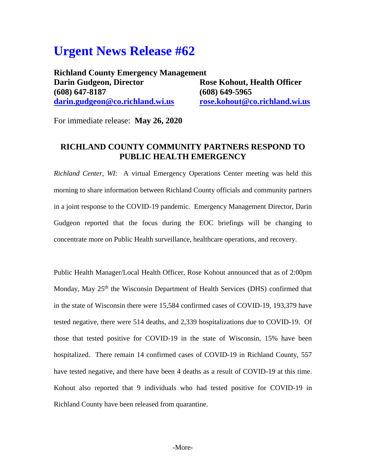## **Urgent News Release #62**

**Richland County Emergency Management Darin Gudgeon, Director Rose Kohout, Health Officer (608) 647-8187 (608) 649-5965 [darin.gudgeon@co.richland.wi.us](mailto:darin.gudgeon@co.richland.wi.us) [rose.kohout@co.richland.wi.us](mailto:rose.kohout@co.richland.wi.us)**

For immediate release: **May 26, 2020**

## **RICHLAND COUNTY COMMUNITY PARTNERS RESPOND TO PUBLIC HEALTH EMERGENCY**

*Richland Center, WI*: A virtual Emergency Operations Center meeting was held this morning to share information between Richland County officials and community partners in a joint response to the COVID-19 pandemic. Emergency Management Director, Darin Gudgeon reported that the focus during the EOC briefings will be changing to concentrate more on Public Health surveillance, healthcare operations, and recovery.

Public Health Manager/Local Health Officer, Rose Kohout announced that as of 2:00pm Monday, May 25<sup>th</sup> the Wisconsin Department of Health Services (DHS) confirmed that in the state of Wisconsin there were 15,584 confirmed cases of COVID-19, 193,379 have tested negative, there were 514 deaths, and 2,339 hospitalizations due to COVID-19. Of those that tested positive for COVID-19 in the state of Wisconsin, 15% have been hospitalized. There remain 14 confirmed cases of COVID-19 in Richland County, 557 have tested negative, and there have been 4 deaths as a result of COVID-19 at this time. Kohout also reported that 9 individuals who had tested positive for COVID-19 in Richland County have been released from quarantine.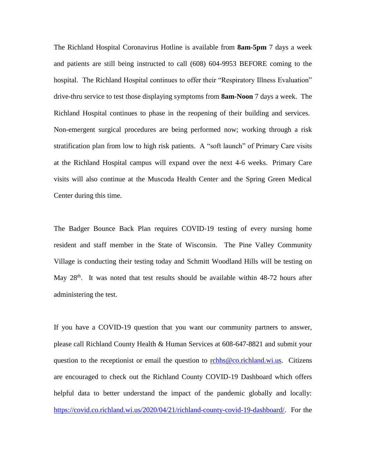The Richland Hospital Coronavirus Hotline is available from **8am-5pm** 7 days a week and patients are still being instructed to call (608) 604-9953 BEFORE coming to the hospital. The Richland Hospital continues to offer their "Respiratory Illness Evaluation" drive-thru service to test those displaying symptoms from **8am-Noon** 7 days a week. The Richland Hospital continues to phase in the reopening of their building and services. Non-emergent surgical procedures are being performed now; working through a risk stratification plan from low to high risk patients. A "soft launch" of Primary Care visits at the Richland Hospital campus will expand over the next 4-6 weeks. Primary Care visits will also continue at the Muscoda Health Center and the Spring Green Medical Center during this time.

The Badger Bounce Back Plan requires COVID-19 testing of every nursing home resident and staff member in the State of Wisconsin. The Pine Valley Community Village is conducting their testing today and Schmitt Woodland Hills will be testing on May  $28<sup>th</sup>$ . It was noted that test results should be available within 48-72 hours after administering the test.

If you have a COVID-19 question that you want our community partners to answer, please call Richland County Health & Human Services at 608-647-8821 and submit your question to the receptionist or email the question to [rchhs@co.richland.wi.us.](mailto:rchhs@co.richland.wi.us) Citizens are encouraged to check out the Richland County COVID-19 Dashboard which offers helpful data to better understand the impact of the pandemic globally and locally: [https://covid.co.richland.wi.us/2020/04/21/richland-county-covid-19-dashboard/.](https://covid.co.richland.wi.us/2020/04/21/richland-county-covid-19-dashboard/) For the